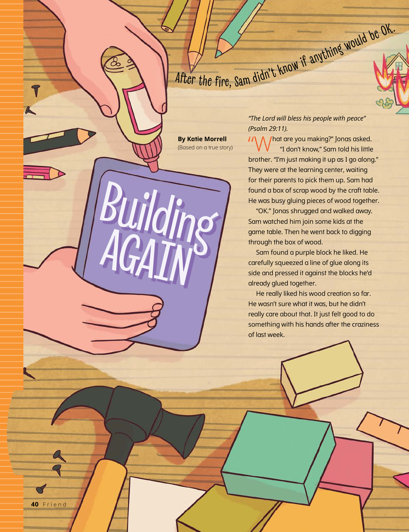## After the fire, Sam didn't know if anything would be OK.

**By Katie Morrell** (Based on a true story)

**Building** 

AGAIN

*"The Lord will bless his people with peace" (Psalm 29:11).*

 $\mathcal{U}\setminus\bigwedge\mathcal{U}$  hat are you making?" Jonas asked. "I don't know," Sam told his little brother. "I'm just making it up as I go along." They were at the learning center, waiting for their parents to pick them up. Sam had found a box of scrap wood by the craft table. He was busy gluing pieces of wood together.

"OK." Jonas shrugged and walked away. Sam watched him join some kids at the game table. Then he went back to digging through the box of wood.

Sam found a purple block he liked. He carefully squeezed a line of glue along its side and pressed it against the blocks he'd already glued together.

He really liked his wood creation so far. He wasn't sure what it was, but he didn't really care about that. It just felt good to do something with his hands after the craziness of last week.